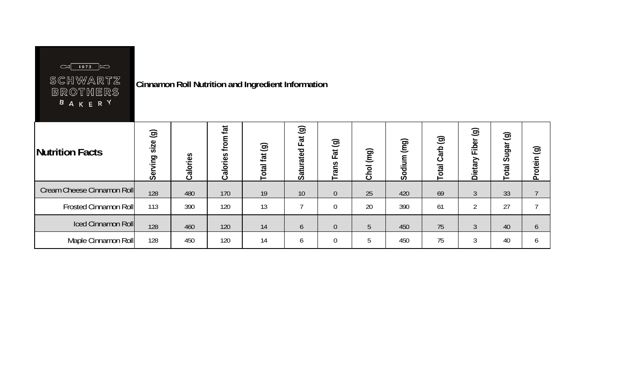| SCHWARTZ<br><b>BROTHERS</b><br><b>BAKERY</b> |                  |          |                      | <b>Cinnamon Roll Nutrition and Ingredient Information</b> |                                    |                  |           |             |                              |                             |                           |                           |
|----------------------------------------------|------------------|----------|----------------------|-----------------------------------------------------------|------------------------------------|------------------|-----------|-------------|------------------------------|-----------------------------|---------------------------|---------------------------|
| Nutrition Facts                              | Serving size (g) | Calories | from fat<br>Calories | Total fat (g)                                             | $\circledcirc$<br>Fat<br>Saturated | Fat (g)<br>Trans | Chol (mg) | Sodium (mg) | $\odot$<br><b>Total Carb</b> | $\odot$<br>Fiber<br>Dietary | $\odot$<br>Sugar<br>Total | $\odot$<br><b>Protein</b> |
| Cream Cheese Cinnamon Roll                   | 128              | 480      | 170                  | 19                                                        | 10                                 | $\overline{0}$   | 25        | 420         | 69                           | $\mathfrak{Z}$              | 33                        |                           |
| <b>Frosted Cinnamon Roll</b>                 | 113              | 390      | 120                  | 13                                                        | 7                                  | $\overline{0}$   | 20        | 390         | 61                           | $\overline{2}$              | 27                        |                           |
| <b>Iced Cinnamon Roll</b>                    | 128              | 460      | 120                  | 14                                                        | 6                                  | $\overline{0}$   | 5         | 450         | 75                           | $\mathfrak{Z}$              | 40                        | 6                         |
| Maple Cinnamon Roll                          | 128              | 450      | 120                  | 14                                                        | 6                                  | $\boldsymbol{0}$ | 5         | 450         | 75                           | 3                           | 40                        | 6                         |

 $\Box \boxed{1973}$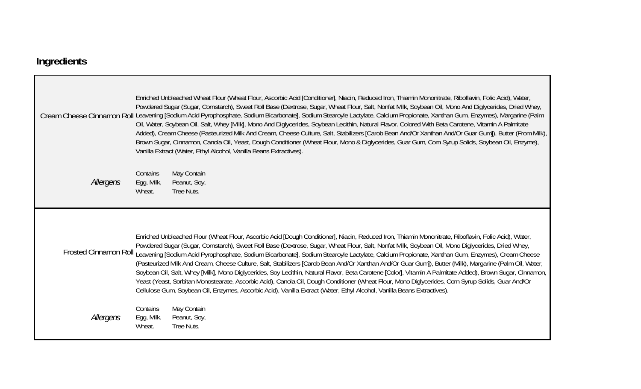## **Ingredients**

|           | Enriched Unbleached Wheat Flour (Wheat Flour, Ascorbic Acid [Conditioner], Niacin, Reduced Iron, Thiamin Mononitrate, Riboflavin, Folic Acid), Water,<br>Powdered Sugar (Sugar, Cornstarch), Sweet Roll Base (Dextrose, Sugar, Wheat Flour, Salt, Nonfat Milk, Soybean Oil, Mono And Diglycerides, Dried Whey,<br>Cream Cheese Cinnamon Roll Leavening [Sodium Acid Pyrophosphate, Sodium Bicarbonate], Sodium Stearoyle Lactylate, Calcium Propionate, Xanthan Gum, Enzymes), Margarine (Palm<br>Oil, Water, Soybean Oil, Salt, Whey [Milk], Mono And Diglycerides, Soybean Lecithin, Natural Flavor. Colored With Beta Carotene, Vitamin A Palmitate<br>Added), Cream Cheese (Pasteurized Milk And Cream, Cheese Culture, Salt, Stabilizers [Carob Bean And/Or Xanthan And/Or Guar Gum]), Butter (From Milk),<br>Brown Sugar, Cinnamon, Canola Oil, Yeast, Dough Conditioner (Wheat Flour, Mono & Diglycerides, Guar Gum, Corn Syrup Solids, Soybean Oil, Enzyme),<br>Vanilla Extract (Water, Ethyl Alcohol, Vanilla Beans Extractives).                                                   |  |  |  |  |
|-----------|----------------------------------------------------------------------------------------------------------------------------------------------------------------------------------------------------------------------------------------------------------------------------------------------------------------------------------------------------------------------------------------------------------------------------------------------------------------------------------------------------------------------------------------------------------------------------------------------------------------------------------------------------------------------------------------------------------------------------------------------------------------------------------------------------------------------------------------------------------------------------------------------------------------------------------------------------------------------------------------------------------------------------------------------------------------------------------------------|--|--|--|--|
| Allergens | May Contain<br>Contains<br>Egg, Milk,<br>Peanut, Soy,<br>Wheat.<br>Tree Nuts.                                                                                                                                                                                                                                                                                                                                                                                                                                                                                                                                                                                                                                                                                                                                                                                                                                                                                                                                                                                                                |  |  |  |  |
|           | Enriched Unbleached Flour (Wheat Flour, Ascorbic Acid [Dough Conditioner], Niacin, Reduced Iron, Thiamin Mononitrate, Riboflavin, Folic Acid), Water,<br>Powdered Sugar (Sugar, Cornstarch), Sweet Roll Base (Dextrose, Sugar, Wheat Flour, Salt, Nonfat Milk, Soybean Oil, Mono Diglycerides, Dried Whey,<br>Frosted Cinnamon Roll Leavening [Sodium Acid Pyrophosphate, Sodium Bicarbonate], Sodium Stearoyle Lactylate, Calcium Propionate, Xanthan Gum, Enzymes), Cream Cheese<br>(Pasteurized Milk And Cream, Cheese Culture, Salt, Stabilizers [Carob Bean And/Or Xanthan And/Or Guar Gum]), Butter (Milk), Margarine (Palm Oil, Water,<br>Soybean Oil, Salt, Whey [Milk], Mono Diglycerides, Soy Lecithin, Natural Flavor, Beta Carotene [Color], Vitamin A Palmitate Added), Brown Sugar, Cinnamon,<br>Yeast (Yeast, Sorbitan Monostearate, Ascorbic Acid), Canola Oil, Dough Conditioner (Wheat Flour, Mono Diglycerides, Corn Syrup Solids, Guar And/Or<br>Cellulose Gum, Soybean Oil, Enzymes, Ascorbic Acid), Vanilla Extract (Water, Ethyl Alcohol, Vanilla Beans Extractives). |  |  |  |  |
| Allergens | May Contain<br>Contains<br>Peanut, Soy,<br>Egg, Milk,<br>Wheat.<br>Tree Nuts.                                                                                                                                                                                                                                                                                                                                                                                                                                                                                                                                                                                                                                                                                                                                                                                                                                                                                                                                                                                                                |  |  |  |  |